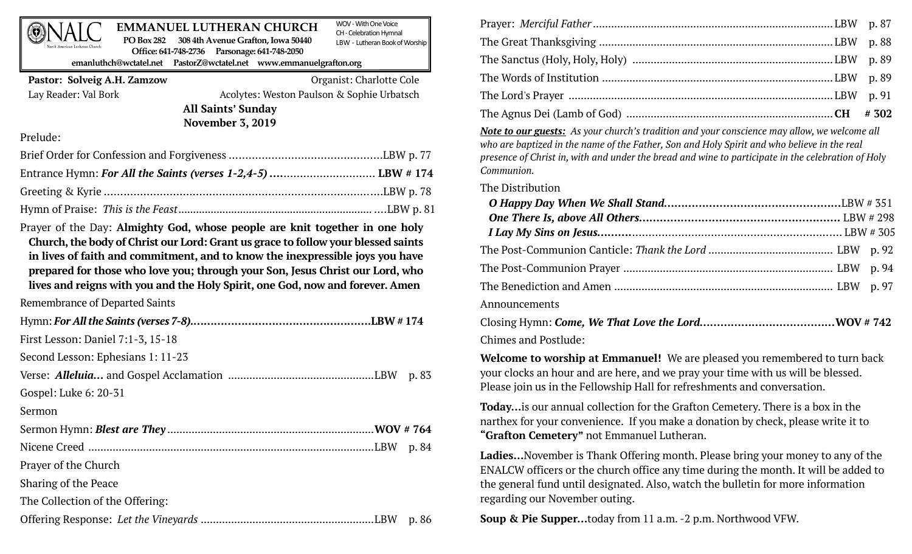#### WOV -With One Voice **EMMANUEL LUTHERAN CHURCH PO Box 282 308 4th Avenue Grafton, Iowa 50440**

CH -Celebration Hymnal LBW - Lutheran Book of Worship

**Office: 641-748-2736 Parsonage: 641-748-2050 emanluthch@wctatel.net PastorZ@wctatel.net www.emmanuelgrafton.org**

## **Pastor: Solveig A.H. Zamzow** Organist: Charlotte Cole

Lay Reader: Val Bork Acolytes: Weston Paulson & Sophie Urbatsch **All Saints' Sunday November 3, 2019**

Prelude:

Prayer of the Day: **Almighty God, whose people are knit together in one holy Church, the body of Christ our Lord: Grant us grace to follow your blessed saints in lives of faith and commitment, and to know the inexpressible joys you have prepared for those who love you; through your Son, Jesus Christ our Lord, who lives and reigns with you and the Holy Spirit, one God, now and forever. Amen**

Remembrance of Departed Saints

| First Lesson: Daniel 7:1-3, 15-18 |       |
|-----------------------------------|-------|
| Second Lesson: Ephesians 1: 11-23 |       |
|                                   | p. 83 |
| Gospel: Luke 6: 20-31             |       |
| Sermon                            |       |
|                                   |       |
|                                   | p. 84 |
| Prayer of the Church              |       |
| Sharing of the Peace              |       |
| The Collection of the Offering:   |       |
|                                   | p. 86 |

*Note to our guests: As your church's tradition and your conscience may allow, we welcome all who are baptized in the name of the Father, Son and Holy Spirit and who believe in the real presence of Christ in, with and under the bread and wine to participate in the celebration of Holy Communion.*

## The Distribution

| Announcements                                                                                                                                                                                                                     |  |
|-----------------------------------------------------------------------------------------------------------------------------------------------------------------------------------------------------------------------------------|--|
| $\alpha$ is the contract of the contract of the contract of the contract of the contract of the contract of the contract of the contract of the contract of the contract of the contract of the contract of the contract of the c |  |

Closing Hymn: *Come, We That Love the Lord…………………………………***WOV # 742** Chimes and Postlude:

**Welcome to worship at Emmanuel!** We are pleased you remembered to turn back your clocks an hour and are here, and we pray your time with us will be blessed. Please join us in the Fellowship Hall for refreshments and conversation.

**Today…**is our annual collection for the Grafton Cemetery. There is a box in the narthex for your convenience. If you make a donation by check, please write it to **"Grafton Cemetery"** not Emmanuel Lutheran.

**Ladies…**November is Thank Offering month. Please bring your money to any of the ENALCW officers or the church office any time during the month. It will be added to the general fund until designated. Also, watch the bulletin for more information regarding our November outing.

**Soup & Pie Supper…**today from 11 a.m. -2 p.m. Northwood VFW.